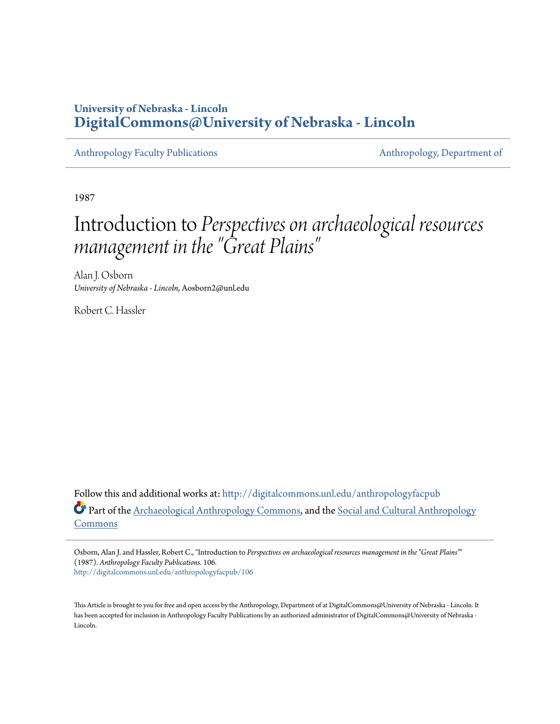## **University of Nebraska - Lincoln [DigitalCommons@University of Nebraska - Lincoln](http://digitalcommons.unl.edu?utm_source=digitalcommons.unl.edu%2Fanthropologyfacpub%2F106&utm_medium=PDF&utm_campaign=PDFCoverPages)**

[Anthropology Faculty Publications](http://digitalcommons.unl.edu/anthropologyfacpub?utm_source=digitalcommons.unl.edu%2Fanthropologyfacpub%2F106&utm_medium=PDF&utm_campaign=PDFCoverPages) **[Anthropology, Department of](http://digitalcommons.unl.edu/anthro?utm_source=digitalcommons.unl.edu%2Fanthropologyfacpub%2F106&utm_medium=PDF&utm_campaign=PDFCoverPages)** 

1987

# Introduction to *Perspectives on archaeological resources management in the "Great Plains "*

Alan J. Osborn *University of Nebraska - Lincoln*, Aosborn2@unl.edu

Robert C. Hassler

Follow this and additional works at: [http://digitalcommons.unl.edu/anthropologyfacpub](http://digitalcommons.unl.edu/anthropologyfacpub?utm_source=digitalcommons.unl.edu%2Fanthropologyfacpub%2F106&utm_medium=PDF&utm_campaign=PDFCoverPages) Part of the [Archaeological Anthropology Commons,](http://network.bepress.com/hgg/discipline/319?utm_source=digitalcommons.unl.edu%2Fanthropologyfacpub%2F106&utm_medium=PDF&utm_campaign=PDFCoverPages) and the [Social and Cultural Anthropology](http://network.bepress.com/hgg/discipline/323?utm_source=digitalcommons.unl.edu%2Fanthropologyfacpub%2F106&utm_medium=PDF&utm_campaign=PDFCoverPages) [Commons](http://network.bepress.com/hgg/discipline/323?utm_source=digitalcommons.unl.edu%2Fanthropologyfacpub%2F106&utm_medium=PDF&utm_campaign=PDFCoverPages)

Osborn, Alan J. and Hassler, Robert C., "Introduction to *Perspectives on archaeological resources management in the "Great Plains"*" (1987). *Anthropology Faculty Publications*. 106. [http://digitalcommons.unl.edu/anthropologyfacpub/106](http://digitalcommons.unl.edu/anthropologyfacpub/106?utm_source=digitalcommons.unl.edu%2Fanthropologyfacpub%2F106&utm_medium=PDF&utm_campaign=PDFCoverPages)

This Article is brought to you for free and open access by the Anthropology, Department of at DigitalCommons@University of Nebraska - Lincoln. It has been accepted for inclusion in Anthropology Faculty Publications by an authorized administrator of DigitalCommons@University of Nebraska -Lincoln.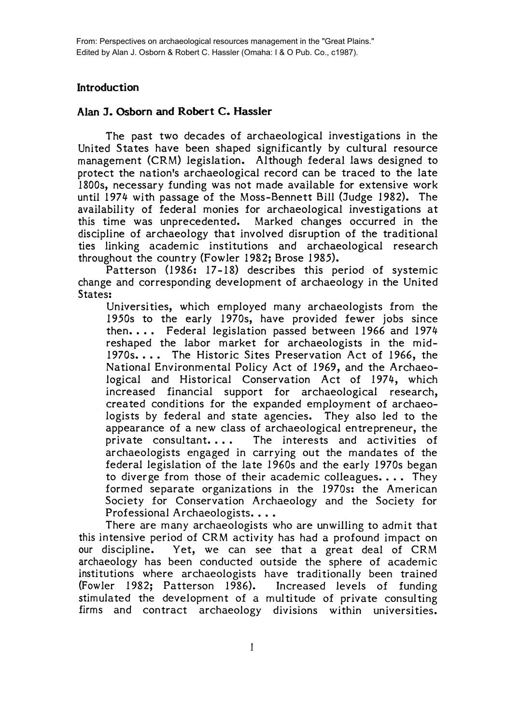### **Introduction**

#### **Alan J. Osborn and Robert C. Hassler**

The past two decades of archaeological investigations in the United States have been shaped significantly by cultural resource management (CRM) legislation. Although federal laws designed to protect the nation'S archaeological record can be traced to the late 1800s, necessary funding was not made available for extensive work until 1974 with passage of the Moss-Bennett Bill (Judge 1982). The availability of federal monies for archaeological investigations at this time was unprecedented. Marked changes occurred in the discipline of archaeology that involved disruption of the traditional ties linking academic institutions and archaeological research throughout the country (Fowler 1982; Brose 1985).

Patterson (I986: 17-18) describes this period of systemic change and corresponding development of archaeology in the United States:

Universities, which employed many archaeologists from the 1950s to the early 1970s, have provided fewer jobs since then. • •• Federal legislation passed between 1966 and 1974 reshaped the labor market for archaeologists in the mid-1970s.... The Historic Sites Preservation Act of 1966, the National Environmental Policy Act of 1969, and the Archaeological and Historical Conservation Act of 1974, which increased financial support for archaeological research, created conditions for the expanded employment of archaeologists by federal and state agencies. They also led to the appearance of a new class of archaeological entrepreneur, the private consultant.... The interests and activities of archaeologists engaged in carrying out the mandates of the federal legislation of the late 1960s and the early 1970s began to diverge from those of their academic colleagues.... They formed separate organizations in the 1970s: the American Society for Conservation Archaeology and the Society for Professional Archaeologists....

There are many archaeologists who are unwilling to admit that this intensive period of CRM activity has had a profound impact on our discipline. Yet, we can see that a great deal of CRM archaeology has been conducted outside the sphere of academic institutions where archaeologists have traditionally been trained (Fowler 1982; Patterson 1986). Increased levels of funding stimulated the development of a multitude of private consulting firms and contract archaeology divisions within universities.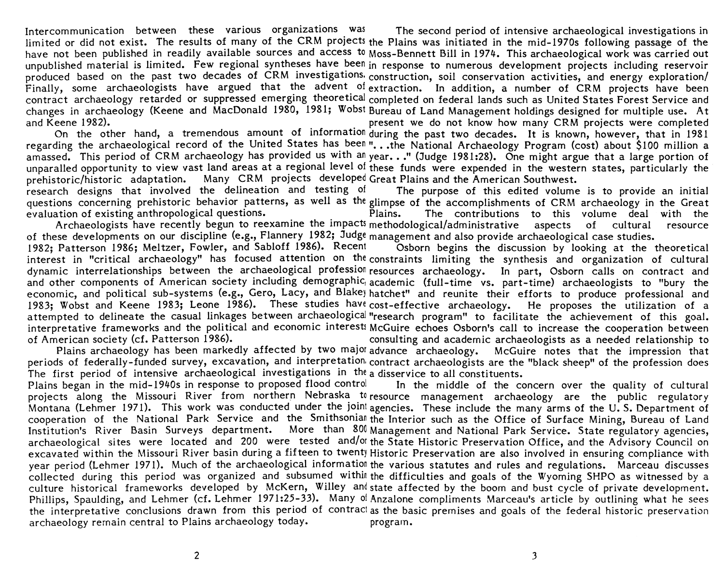Intercommunication between these various organizations was The second period of intensive archaeological investigations in limited or did not exist. The results of many of the CRM projects the Plains was initiated in the mid-1970s following passage of the have not been published in readily available sources and access to Moss-Bennett Bill in 1974. This archaeological work was carried out unpublished material is limited. Few regional syntheses have been in response to numerous development projects including reservoir produced based on the past two decades of CRM investigations. construction, soil conservation activities, and energy exploration/ Finally, some archaeologists have argued that the advent of extraction. In addition, a number of CRM projects have been contract archaeology retarded or suppressed emerging theoretical completed on federal lands such as United States Forest Service and changes in archaeology (Keene and MacDonald 1980, 1981; Wobst Bureau of Land Management holdings designed for multiple use. At and Keene 1982). present we do not know how many CRM projects were completed

On the other hand, a tremendous amount of information during the past two decades. It is known, however, that in 1981 regarding the archaeological record of the United States has been "...the National Archaeology Program (cost) about \$100 million a amassed. This period of CRM archaeology has provided us with an year..." (Judge 1981:28). One might argue that a large portion of unparalled opportunity to view vast land areas at a regional level of these funds were expended in the western states, particularly the prehistoric/historic adaptation. Many CRM projects developed Great Plains and the American Southwest.

research designs that involved the delineation and testing of The purpose of this edited volume is to provide an initial questions concerning prehistoric behavior patterns, as well as the glimpse of the accomplishments of CRM archaeology in the Great evaluation of existing anthropological questions. The contributions to this volume deal with the Archaeologists have recently begun to reexamine the impacts methodological/administrative aspects of cultural resource of these developments on our discipline (e.g., Flannery 1982; Judge management and also provide archaeological case studies.

1982; Patterson 1986; Meltzer, Fowler, and Sabloff 1986). Recent Osborn begins the discussion by looking at the theoretical interest in "critical archaeology" has focused attention on the constraints limiting the synthesis and organization of cultural dynamic interrelationships between the archaeological profession resources archaeology. In part, Osborn calls on contract and and other components of American society including demographic, academic (full-time vs. part-time) archaeologists to "bury the economic, and political sub-systems (e.g., Gero, Lacy, and Blakey hatchet" and reunite their efforts to produce professional and 1983; Wobst and Keene 1983; Leone 1986). These studies have cost-effective archaeology. He proposes the utilization of a attempted to delineate the casual linkages between archaeological "research program" to facilitate the achievement of this goal. interpretative frameworks and the political and economic interests McGuire echoes Osborn's call to increase the cooperation between<br>of American society (cf. Patterson 1986).<br>consulting and academic archaeologists as a need consulting and academic archaeologists as a needed relationship to

Plains archaeology has been markedly affected by two major advance archaeology. McGuire notes that the impression that periods of federally-funded survey, excavation, and interpretation. contract archaeologists are the "black sheep" of the profession does The first period of intensive archaeological investigations in the a disservice to all constituents.

Plains began in the mid-1940s in response to proposed flood control In the middle of the concern over the quality of cultural projects along the Missouri River from northern Nebraska to resource management archaeology are the public regulatory Montana (Lehmer 1971). This work was conducted under the joint agencies. These include the many arms of the U.S. Department of cooperation of the National Park Service and the Smithsonian the Interior such as the Office of Surface Mining, Bureau of Land Institution's River Basin Surveys department. More than 800 Management and National Park Service. State regulatory agencies, archaeological sites were located and 200 were tested and/or the State Historic Preservation Office, and the Advisory Council on excavated within the Missouri River basin during a fifteen to twenty Historic Preservation are also involved in ensuring compliance with year period (Lehmer 1971). Much of the archaeological information the various statutes and rules and regulations. Marceau discusses collected during this period was organized and subsumed within the difficulties and goals of the Wyoming SHPO as witnessed by a culture historical frameworks developed by McKern, Willey and state affected by the boom and bust cycle of private development. Phillips, Spaulding, and Lehmer (cf. Lehmer 1971:25-33). Many of Anzalone compliments Marceau's article by outlining what he sees the interpretative conclusions drawn from this period of contract as the basic premises and goals of the federal historic preservation archaeology remain central to Plains archaeology today. program.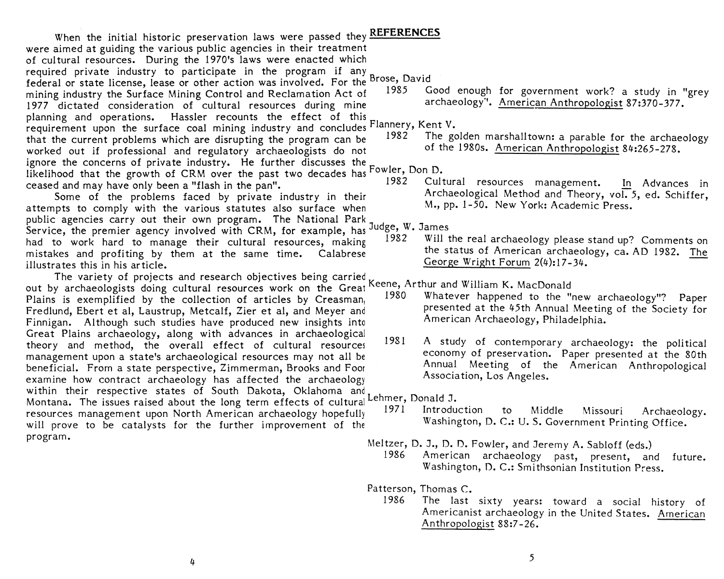When' the initial historic preservation laws were passed they **REFERENCES**  were aimed at guiding the various public agencies in their treatment of cultural resources. During the 1970's laws were enacted which required private industry to participate in the program if any Brose, David federal or state license, lease or other action was involved. For the <sup>Brose</sup>, David<br>mining industry the Surface Mining Control and Reclamation Act of 1985 Good enough for government work? a study in "grey mining industry the Surface Mining Control and Reclamation Act of 1985 Good enough for government work? a study in "<br>1977 dictated consideration of cultural resources during mine archaeology". American Anthropologist 87:37 1977 dictated consideration of cultural resources during mine planning and operations. Hassler recounts the effect of this requirement upon the surface coal mining industry and concludes Flannery, Kent V.<br>requirement upon the surface coal mining industry and concludes Flannery, Kent V. that the current problems which are disrupting the program can be 1982 The golden marshalltown: a parable for the archaeology<br>worked out if professional and regulatory archaeologists do not of the 1980s. American Anthropol worked out if professional and regulatory archaeologists do not ignore the concerns of private industry. He further discusses the fowler, Don D. likelihood that the growth of CRM over the past two decades has  $\frac{1}{282}$  Cultural resources management. ceased and may have only been a "flash in the pan". 1982 Cultural resources management. In Advances in

attempts to comply with the various statutes also surface when public agencies carry out their own program. The National Park Service, the premier agency involved with CRM, for example, has Judge, W. James<br>had to work hard to manage their cultural resources, making 1982 Will the real archaeology please stand up? Comments on mistakes and profiting by them at the same time. Calabrese the status of American archaeology, ca. AD 1982. The illustrates this in his article.

The variety of projects and research objectives being carried out by archaeologists doing cultural resources work on the Great Keene, Arthur and William K. MacDonald<br>Plains is avemplified by the collection of articles by Creasman. 1980 Whatever happened to the "new archaeology"? Pape Plains is exemplified by the collection of articles by Creasman, Fredlund, Ebert et al, Laustrup, Metcalf, Zier et al, and Meyer and presented at the 45th Annual Meeting of the Society for<br>Finnigan Although such studies have produced new insights into American Archaeology, Philadelphia. Finnigan. Although such studies have produced new insights into Great Plains archaeology, along with advances in archaeological theory and method, the overall effect of cultural resources 1981 A study of contemporary archaeology: the political<br>management upon a state's archaeological resources may not all be economy of preservation. Paper presented management upon a state's archaeological resources may not all be economy of preservation. Paper presented at the 80th<br>Repeticial Erom a state perspective Zimmerman Brooks and Foor and Annual Meeting of the American Anthro beneficial. From a state perspective, Zimmerman, Brooks and Foor Annual Meeting of the American Association, Los Angeles. examine how contract archaeology has affected the archaeology within their respective states of South Dakota, Oklahoma and<br>Montana, The issues raised about the long term effects of cultural Lehmer, Donald J. Montana. The issues raised about the long term effects of cultural Lehmer, Donald J.<br>recourses management upon North American archaeology bonefully 1971 Introduction resources management upon North American archaeology hopefully 1971 Introduction to Middle Missouri Archaeology.<br>Washington, D. C.: U. S. Government Printing Office. will prove to be catalysts for the further improvement of the program.

Some of the problems faced by private industry in their Archaeological Method and Theory, vol. 5, ed. Schiffer,<br>
Inte to comply with the various statutes also surface when M., pp. 1-50. New York: Academic Press.

- 
- 

Meltzer, D. J., D. D. Fowler, and Jeremy A. Sabloff (eds.)

1986 American archaeology past, present, and future. Washington, D. C.: Smithsonian Institution Press.

Patterson, Thomas C.

1986 The last sixty years: toward a social history of Americanist archaeology in the United States. American Anthropologist 88:7 -26.